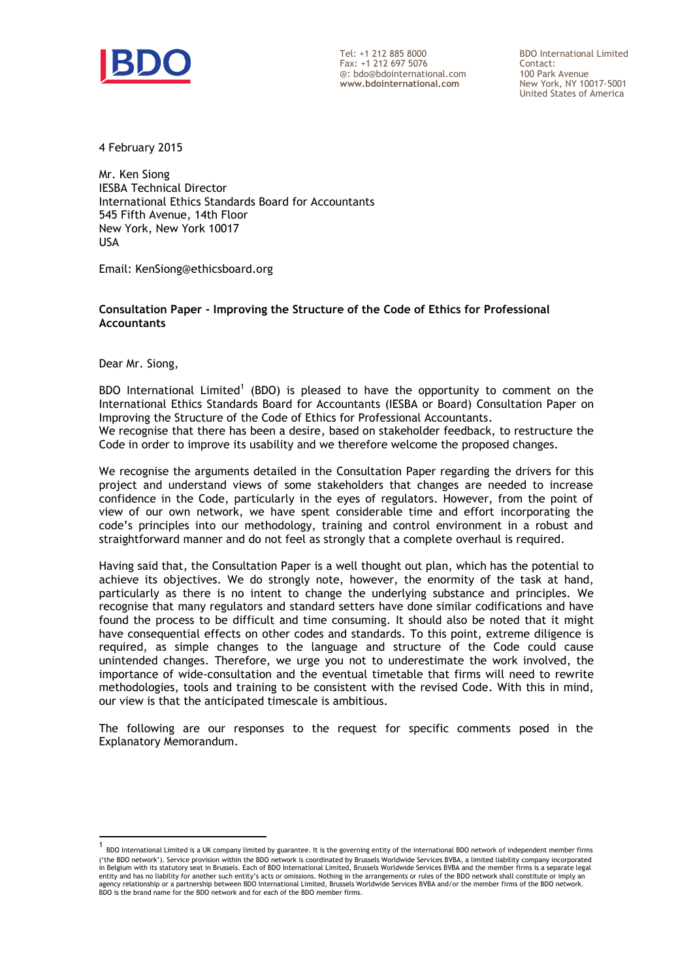

Tel: +1 212 885 8000 Fax: +1 212 697 5076 @: bdo@bdointernational.com **www.bdointernational.com**

BDO International Limited Contact: 100 Park Avenue New York, NY 10017-5001 United States of America

4 February 2015

Mr. Ken Siong IESBA Technical Director International Ethics Standards Board for Accountants 545 Fifth Avenue, 14th Floor New York, New York 10017 USA

Email: KenSiong@ethicsboard.org

**Consultation Paper - Improving the Structure of the Code of Ethics for Professional Accountants**

Dear Mr. Siong,

 $\overline{a}$ 

BDO International Limited<sup>1</sup> (BDO) is pleased to have the opportunity to comment on the International Ethics Standards Board for Accountants (IESBA or Board) Consultation Paper on Improving the Structure of the Code of Ethics for Professional Accountants. We recognise that there has been a desire, based on stakeholder feedback, to restructure the Code in order to improve its usability and we therefore welcome the proposed changes.

We recognise the arguments detailed in the Consultation Paper regarding the drivers for this project and understand views of some stakeholders that changes are needed to increase confidence in the Code, particularly in the eyes of regulators. However, from the point of view of our own network, we have spent considerable time and effort incorporating the code's principles into our methodology, training and control environment in a robust and straightforward manner and do not feel as strongly that a complete overhaul is required.

Having said that, the Consultation Paper is a well thought out plan, which has the potential to achieve its objectives. We do strongly note, however, the enormity of the task at hand, particularly as there is no intent to change the underlying substance and principles. We recognise that many regulators and standard setters have done similar codifications and have found the process to be difficult and time consuming. It should also be noted that it might have consequential effects on other codes and standards. To this point, extreme diligence is required, as simple changes to the language and structure of the Code could cause unintended changes. Therefore, we urge you not to underestimate the work involved, the importance of wide-consultation and the eventual timetable that firms will need to rewrite methodologies, tools and training to be consistent with the revised Code. With this in mind, our view is that the anticipated timescale is ambitious.

The following are our responses to the request for specific comments posed in the Explanatory Memorandum.

<sup>1</sup> BDO International Limited is a UK company limited by guarantee. It is the governing entity of the international BDO network of independent member firms ('the BDO network'). Service provision within the BDO network is coordinated by Brussels Worldwide Services BVBA, a limited liability company incorporated in Belgium with its statutory seat in Brussels. Each of BDO International Limited, Brussels Worldwide Services BVBA and the member firms is a separate legal entity and has no liability for another such entity's acts or omissions. Nothing in the arrangements or rules of the BDO network shall constitute or imply an<br>agency relationship or a partnership between BDO International L agency relationship or a partnership between boy must have must all the set firms.<br>BDO is the brand name for the BDO network and for each of the BDO member firms.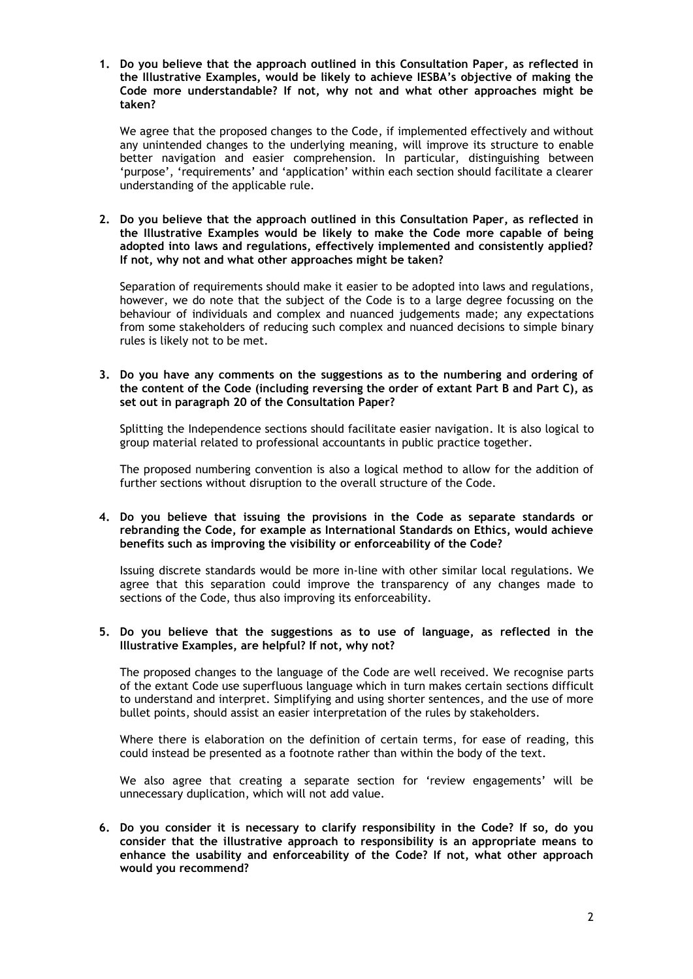**1. Do you believe that the approach outlined in this Consultation Paper, as reflected in the Illustrative Examples, would be likely to achieve IESBA's objective of making the Code more understandable? If not, why not and what other approaches might be taken?** 

We agree that the proposed changes to the Code, if implemented effectively and without any unintended changes to the underlying meaning, will improve its structure to enable better navigation and easier comprehension. In particular, distinguishing between 'purpose', 'requirements' and 'application' within each section should facilitate a clearer understanding of the applicable rule.

**2. Do you believe that the approach outlined in this Consultation Paper, as reflected in the Illustrative Examples would be likely to make the Code more capable of being adopted into laws and regulations, effectively implemented and consistently applied? If not, why not and what other approaches might be taken?** 

Separation of requirements should make it easier to be adopted into laws and regulations, however, we do note that the subject of the Code is to a large degree focussing on the behaviour of individuals and complex and nuanced judgements made; any expectations from some stakeholders of reducing such complex and nuanced decisions to simple binary rules is likely not to be met.

**3. Do you have any comments on the suggestions as to the numbering and ordering of the content of the Code (including reversing the order of extant Part B and Part C), as set out in paragraph 20 of the Consultation Paper?** 

Splitting the Independence sections should facilitate easier navigation. It is also logical to group material related to professional accountants in public practice together.

The proposed numbering convention is also a logical method to allow for the addition of further sections without disruption to the overall structure of the Code.

# **4. Do you believe that issuing the provisions in the Code as separate standards or rebranding the Code, for example as International Standards on Ethics, would achieve benefits such as improving the visibility or enforceability of the Code?**

Issuing discrete standards would be more in-line with other similar local regulations. We agree that this separation could improve the transparency of any changes made to sections of the Code, thus also improving its enforceability.

## **5. Do you believe that the suggestions as to use of language, as reflected in the Illustrative Examples, are helpful? If not, why not?**

The proposed changes to the language of the Code are well received. We recognise parts of the extant Code use superfluous language which in turn makes certain sections difficult to understand and interpret. Simplifying and using shorter sentences, and the use of more bullet points, should assist an easier interpretation of the rules by stakeholders.

Where there is elaboration on the definition of certain terms, for ease of reading, this could instead be presented as a footnote rather than within the body of the text.

We also agree that creating a separate section for 'review engagements' will be unnecessary duplication, which will not add value.

**6. Do you consider it is necessary to clarify responsibility in the Code? If so, do you consider that the illustrative approach to responsibility is an appropriate means to enhance the usability and enforceability of the Code? If not, what other approach would you recommend?**